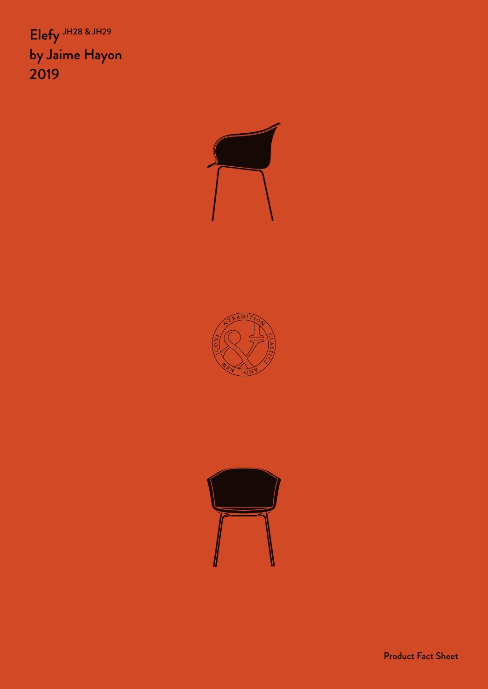Elefy JH28 & JH29 by Jaime Hayon 2019







Product Fact Sheet